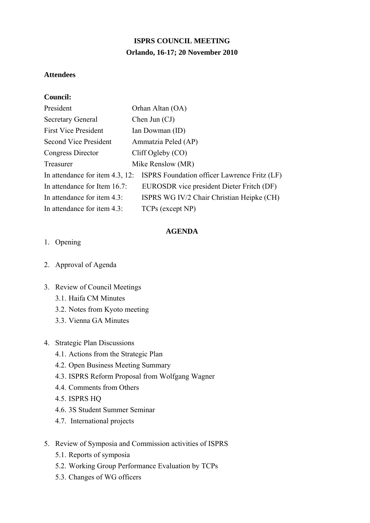# **ISPRS COUNCIL MEETING Orlando, 16-17; 20 November 2010**

#### **Attendees**

#### **Council:**

| President                       | Orhan Altan (OA)                             |
|---------------------------------|----------------------------------------------|
| <b>Secretary General</b>        | Chen Jun $(CJ)$                              |
| <b>First Vice President</b>     | Ian Dowman (ID)                              |
| Second Vice President           | Ammatzia Peled (AP)                          |
| Congress Director               | CliffOgleby (CO)                             |
| Treasurer                       | Mike Renslow (MR)                            |
| In attendance for item 4.3, 12: | ISPRS Foundation officer Lawrence Fritz (LF) |
| In attendance for Item 16.7:    | EUROSDR vice president Dieter Fritch (DF)    |
| In attendance for item 4.3:     | ISPRS WG IV/2 Chair Christian Heipke (CH)    |
| In attendance for item 4.3:     | TCPs (except NP)                             |

#### **AGENDA**

### 1. Opening

2. Approval of Agenda

#### 3. Review of Council Meetings

- 3.1. Haifa CM Minutes
- 3.2. Notes from Kyoto meeting
- 3.3. Vienna GA Minutes

#### 4. Strategic Plan Discussions

- 4.1. Actions from the Strategic Plan
- 4.2. Open Business Meeting Summary
- 4.3. ISPRS Reform Proposal from Wolfgang Wagner
- 4.4. Comments from Others
- 4.5. ISPRS HQ
- 4.6. 3S Student Summer Seminar
- 4.7. International projects
- 5. Review of Symposia and Commission activities of ISPRS
	- 5.1. Reports of symposia
	- 5.2. Working Group Performance Evaluation by TCPs
	- 5.3. Changes of WG officers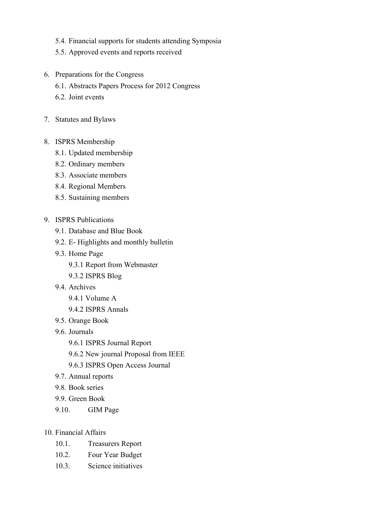- 5.4. Financial supports for students attending Symposia
- 5.5. Approved events and reports received
- 6. Preparations for the Congress
	- 6.1. Abstracts Papers Process for 2012 Congress
	- 6.2. Joint events
- 7. Statutes and Bylaws
- 8. ISPRS Membership
	- 8.1. Updated membership
	- 8.2. Ordinary members
	- 8.3. Associate members
	- 8.4. Regional Members
	- 8.5. Sustaining members
- 9. ISPRS Publications
	- 9.1. Database and Blue Book
	- 9.2. E- Highlights and monthly bulletin
	- 9.3. Home Page
		- 9.3.1 Report from Webmaster
		- 9.3.2 ISPRS Blog
	- 9.4. Archives
		- 9.4.1 Volume A
		- 9.4.2 ISPRS Annals
	- 9.5. Orange Book
	- 9.6. Journals
		- 9.6.1 ISPRS Journal Report
		- 9.6.2 New journal Proposal from IEEE
		- 9.6.3 ISPRS Open Access Journal
	- 9.7. Annual reports
	- 9.8. Book series
	- 9.9. Green Book
	- 9.10. GIM Page
- 10. Financial Affairs
	- 10.1. Treasurers Report
	- 10.2. Four Year Budget
	- 10.3. Science initiatives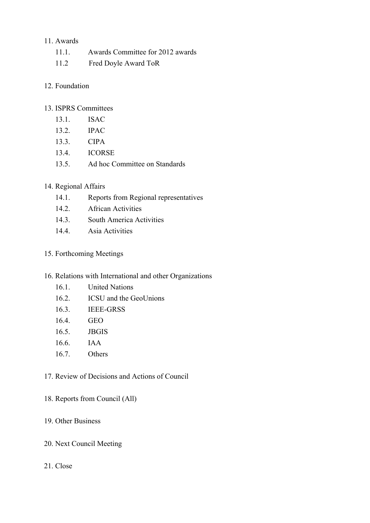### 11. Awards

- 11.1. Awards Committee for 2012 awards
- 11.2 Fred Doyle Award ToR

### 12. Foundation

### 13. ISPRS Committees

- 13.1. ISAC
- 13.2. IPAC
- 13.3. CIPA
- 13.4. ICORSE
- 13.5. Ad hoc Committee on Standards

### 14. Regional Affairs

- 14.1. Reports from Regional representatives
- 14.2. African Activities
- 14.3. South America Activities
- 14.4. Asia Activities

### 15. Forthcoming Meetings

- 16. Relations with International and other Organizations
	- 16.1. United Nations
	- 16.2. ICSU and the GeoUnions
	- 16.3. IEEE-GRSS
	- 16.4. GEO
	- 16.5. JBGIS
	- 16.6. IAA
	- 16.7. Others
- 17. Review of Decisions and Actions of Council
- 18. Reports from Council (All)
- 19. Other Business
- 20. Next Council Meeting

### 21. Close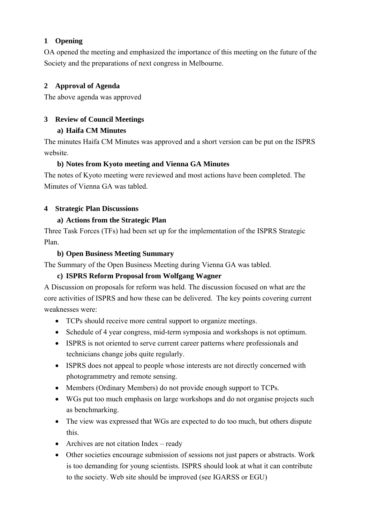### **1 Opening**

OA opened the meeting and emphasized the importance of this meeting on the future of the Society and the preparations of next congress in Melbourne.

# **2 Approval of Agenda**

The above agenda was approved

# **3 Review of Council Meetings**

# **a) Haifa CM Minutes**

The minutes Haifa CM Minutes was approved and a short version can be put on the ISPRS website.

# **b) Notes from Kyoto meeting and Vienna GA Minutes**

The notes of Kyoto meeting were reviewed and most actions have been completed. The Minutes of Vienna GA was tabled.

# **4 Strategic Plan Discussions**

# **a) Actions from the Strategic Plan**

Three Task Forces (TFs) had been set up for the implementation of the ISPRS Strategic Plan.

# **b) Open Business Meeting Summary**

The Summary of the Open Business Meeting during Vienna GA was tabled.

# **c) ISPRS Reform Proposal from Wolfgang Wagner**

A Discussion on proposals for reform was held. The discussion focused on what are the core activities of ISPRS and how these can be delivered. The key points covering current weaknesses were:

- TCPs should receive more central support to organize meetings.
- Schedule of 4 year congress, mid-term symposia and workshops is not optimum.
- ISPRS is not oriented to serve current career patterns where professionals and technicians change jobs quite regularly.
- ISPRS does not appeal to people whose interests are not directly concerned with photogrammetry and remote sensing.
- Members (Ordinary Members) do not provide enough support to TCPs.
- WGs put too much emphasis on large workshops and do not organise projects such as benchmarking.
- The view was expressed that WGs are expected to do too much, but others dispute this.
- Archives are not citation Index ready
- Other societies encourage submission of sessions not just papers or abstracts. Work is too demanding for young scientists. ISPRS should look at what it can contribute to the society. Web site should be improved (see IGARSS or EGU)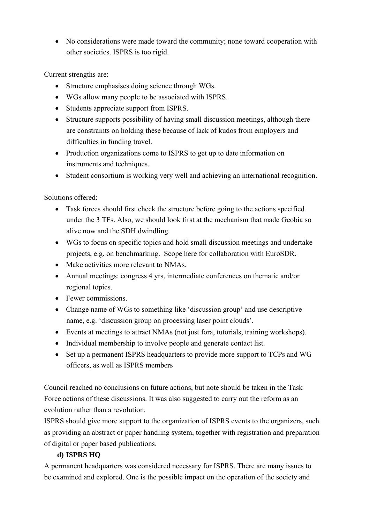No considerations were made toward the community; none toward cooperation with other societies. ISPRS is too rigid.

Current strengths are:

- Structure emphasises doing science through WGs.
- WGs allow many people to be associated with ISPRS.
- Students appreciate support from ISPRS.
- Structure supports possibility of having small discussion meetings, although there are constraints on holding these because of lack of kudos from employers and difficulties in funding travel.
- Production organizations come to ISPRS to get up to date information on instruments and techniques.
- Student consortium is working very well and achieving an international recognition.

Solutions offered:

- Task forces should first check the structure before going to the actions specified under the 3 TFs. Also, we should look first at the mechanism that made Geobia so alive now and the SDH dwindling.
- WGs to focus on specific topics and hold small discussion meetings and undertake projects, e.g. on benchmarking. Scope here for collaboration with EuroSDR.
- Make activities more relevant to NMAs.
- Annual meetings: congress 4 yrs, intermediate conferences on thematic and/or regional topics.
- Fewer commissions.
- Change name of WGs to something like 'discussion group' and use descriptive name, e.g. 'discussion group on processing laser point clouds'.
- Events at meetings to attract NMAs (not just fora, tutorials, training workshops).
- Individual membership to involve people and generate contact list.
- Set up a permanent ISPRS headquarters to provide more support to TCPs and WG officers, as well as ISPRS members

Council reached no conclusions on future actions, but note should be taken in the Task Force actions of these discussions. It was also suggested to carry out the reform as an evolution rather than a revolution.

ISPRS should give more support to the organization of ISPRS events to the organizers, such as providing an abstract or paper handling system, together with registration and preparation of digital or paper based publications.

# **d) ISPRS HQ**

A permanent headquarters was considered necessary for ISPRS. There are many issues to be examined and explored. One is the possible impact on the operation of the society and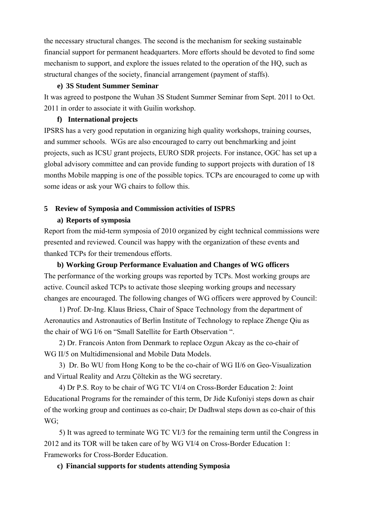the necessary structural changes. The second is the mechanism for seeking sustainable financial support for permanent headquarters. More efforts should be devoted to find some mechanism to support, and explore the issues related to the operation of the HQ, such as structural changes of the society, financial arrangement (payment of staffs).

#### **e) 3S Student Summer Seminar**

It was agreed to postpone the Wuhan 3S Student Summer Seminar from Sept. 2011 to Oct. 2011 in order to associate it with Guilin workshop.

#### **f) International projects**

IPSRS has a very good reputation in organizing high quality workshops, training courses, and summer schools. WGs are also encouraged to carry out benchmarking and joint projects, such as ICSU grant projects, EURO SDR projects. For instance, OGC has set up a global advisory committee and can provide funding to support projects with duration of 18 months Mobile mapping is one of the possible topics. TCPs are encouraged to come up with some ideas or ask your WG chairs to follow this.

# **5 Review of Symposia and Commission activities of ISPRS**

#### **a) Reports of symposia**

Report from the mid-term symposia of 2010 organized by eight technical commissions were presented and reviewed. Council was happy with the organization of these events and thanked TCPs for their tremendous efforts.

**b) Working Group Performance Evaluation and Changes of WG officers**  The performance of the working groups was reported by TCPs. Most working groups are active. Council asked TCPs to activate those sleeping working groups and necessary changes are encouraged. The following changes of WG officers were approved by Council:

1) Prof. Dr-Ing. Klaus Briess, Chair of Space Technology from the department of Aeronautics and Astronautics of Berlin Institute of Technology to replace Zhenge Qiu as the chair of WG I/6 on "Small Satellite for Earth Observation ".

2) Dr. Francois Anton from Denmark to replace Ozgun Akcay as the co-chair of WG II/5 on Multidimensional and Mobile Data Models.

3) Dr. Bo WU from Hong Kong to be the co-chair of WG II/6 on Geo-Visualization and Virtual Reality and Arzu Çöltekin as the WG secretary.

4) Dr P.S. Roy to be chair of WG TC VI/4 on Cross-Border Education 2: Joint Educational Programs for the remainder of this term, Dr Jide Kufoniyi steps down as chair of the working group and continues as co-chair; Dr Dadhwal steps down as co-chair of this WG;

5) It was agreed to terminate WG TC VI/3 for the remaining term until the Congress in 2012 and its TOR will be taken care of by WG VI/4 on Cross-Border Education 1: Frameworks for Cross-Border Education.

**c) Financial supports for students attending Symposia**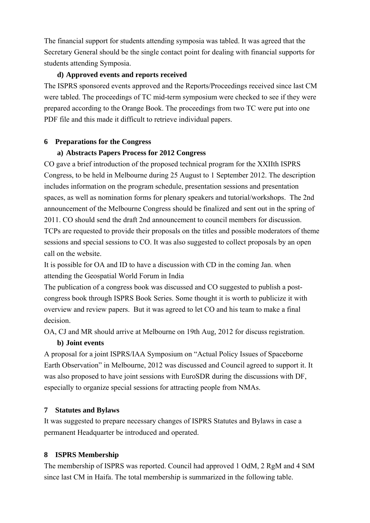The financial support for students attending symposia was tabled. It was agreed that the Secretary General should be the single contact point for dealing with financial supports for students attending Symposia.

#### **d) Approved events and reports received**

The ISPRS sponsored events approved and the Reports/Proceedings received since last CM were tabled. The proceedings of TC mid-term symposium were checked to see if they were prepared according to the Orange Book. The proceedings from two TC were put into one PDF file and this made it difficult to retrieve individual papers.

#### **6 Preparations for the Congress**

#### **a) Abstracts Papers Process for 2012 Congress**

CO gave a brief introduction of the proposed technical program for the XXIIth ISPRS Congress, to be held in Melbourne during 25 August to 1 September 2012. The description includes information on the program schedule, presentation sessions and presentation spaces, as well as nomination forms for plenary speakers and tutorial/workshops. The 2nd announcement of the Melbourne Congress should be finalized and sent out in the spring of 2011. CO should send the draft 2nd announcement to council members for discussion. TCPs are requested to provide their proposals on the titles and possible moderators of theme sessions and special sessions to CO. It was also suggested to collect proposals by an open call on the website.

It is possible for OA and ID to have a discussion with CD in the coming Jan. when attending the Geospatial World Forum in India

The publication of a congress book was discussed and CO suggested to publish a postcongress book through ISPRS Book Series. Some thought it is worth to publicize it with overview and review papers. But it was agreed to let CO and his team to make a final decision.

OA, CJ and MR should arrive at Melbourne on 19th Aug, 2012 for discuss registration.

#### **b) Joint events**

A proposal for a joint ISPRS/IAA Symposium on "Actual Policy Issues of Spaceborne Earth Observation" in Melbourne, 2012 was discussed and Council agreed to support it. It was also proposed to have joint sessions with EuroSDR during the discussions with DF, especially to organize special sessions for attracting people from NMAs.

#### **7 Statutes and Bylaws**

It was suggested to prepare necessary changes of ISPRS Statutes and Bylaws in case a permanent Headquarter be introduced and operated.

#### **8 ISPRS Membership**

The membership of ISPRS was reported. Council had approved 1 OdM, 2 RgM and 4 StM since last CM in Haifa. The total membership is summarized in the following table.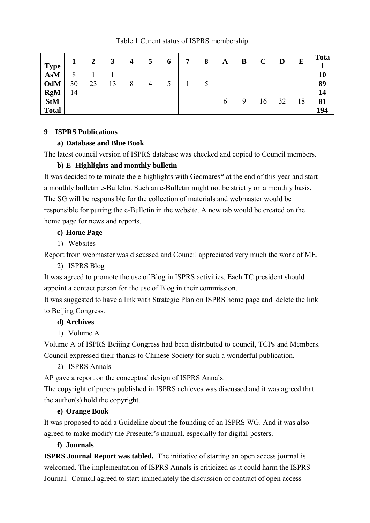Table 1 Curent status of ISPRS membership

| <b>Type</b>  |    |    | 3  |               | 5 | $\mathbf 0$ | − | 8 | A | B | C  | D  | E  | <b>Tota</b> |
|--------------|----|----|----|---------------|---|-------------|---|---|---|---|----|----|----|-------------|
| <b>AsM</b>   | 8  |    |    |               |   |             |   |   |   |   |    |    |    | 10          |
| OdM          | 30 | 23 | 13 | $\Omega$<br>Õ | 4 | ັ           |   | ◡ |   |   |    |    |    | 89          |
| <b>RgM</b>   | 14 |    |    |               |   |             |   |   |   |   |    |    |    | 14          |
| <b>StM</b>   |    |    |    |               |   |             |   |   | O | Q | 16 | 32 | 18 | 81          |
| <b>Total</b> |    |    |    |               |   |             |   |   |   |   |    |    |    | 194         |

# **9 ISPRS Publications**

### **a) Database and Blue Book**

The latest council version of ISPRS database was checked and copied to Council members.

# **b) E- Highlights and monthly bulletin**

It was decided to terminate the e-highlights with Geomares\* at the end of this year and start a monthly bulletin e-Bulletin. Such an e-Bulletin might not be strictly on a monthly basis. The SG will be responsible for the collection of materials and webmaster would be responsible for putting the e-Bulletin in the website. A new tab would be created on the home page for news and reports.

# **c) Home Page**

1) Websites

Report from webmaster was discussed and Council appreciated very much the work of ME.

# 2) ISPRS Blog

It was agreed to promote the use of Blog in ISPRS activities. Each TC president should appoint a contact person for the use of Blog in their commission.

It was suggested to have a link with Strategic Plan on ISPRS home page and delete the link to Beijing Congress.

# **d) Archives**

1) Volume A

Volume A of ISPRS Beijing Congress had been distributed to council, TCPs and Members. Council expressed their thanks to Chinese Society for such a wonderful publication.

2) ISPRS Annals

AP gave a report on the conceptual design of ISPRS Annals.

The copyright of papers published in ISPRS achieves was discussed and it was agreed that the author(s) hold the copyright.

# **e) Orange Book**

It was proposed to add a Guideline about the founding of an ISPRS WG. And it was also agreed to make modify the Presenter's manual, especially for digital-posters.

# **f) Journals**

**ISPRS Journal Report was tabled.** The initiative of starting an open access journal is welcomed. The implementation of ISPRS Annals is criticized as it could harm the ISPRS Journal. Council agreed to start immediately the discussion of contract of open access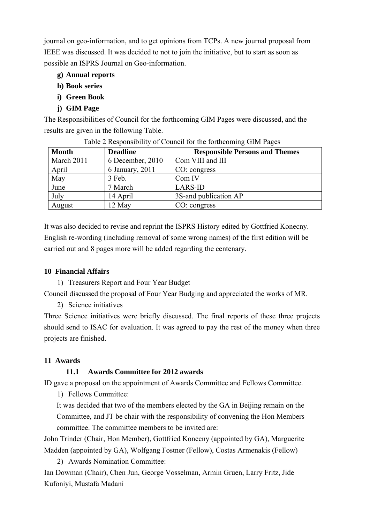journal on geo-information, and to get opinions from TCPs. A new journal proposal from IEEE was discussed. It was decided to not to join the initiative, but to start as soon as possible an ISPRS Journal on Geo-information.

- **g) Annual reports**
- **h) Book series**
- **i) Green Book**
- **j) GIM Page**

The Responsibilities of Council for the forthcoming GIM Pages were discussed, and the results are given in the following Table.

| <b>Month</b> | <b>Deadline</b>  | <b>Responsible Persons and Themes</b> |
|--------------|------------------|---------------------------------------|
| March 2011   | 6 December, 2010 | Com VIII and III                      |
| April        | 6 January, 2011  | CO: congress                          |
| May          | 3 Feb.           | Com IV                                |
| June         | 7 March          | <b>LARS-ID</b>                        |
| July         | 14 April         | 3S-and publication AP                 |
| August       | 12 May           | CO: congress                          |

Table 2 Responsibility of Council for the forthcoming GIM Pages

It was also decided to revise and reprint the ISPRS History edited by Gottfried Konecny. English re-wording (including removal of some wrong names) of the first edition will be carried out and 8 pages more will be added regarding the centenary.

# **10 Financial Affairs**

1) Treasurers Report and Four Year Budget

Council discussed the proposal of Four Year Budging and appreciated the works of MR.

2) Science initiatives

Three Science initiatives were briefly discussed. The final reports of these three projects should send to ISAC for evaluation. It was agreed to pay the rest of the money when three projects are finished.

# **11 Awards**

# **11.1 Awards Committee for 2012 awards**

ID gave a proposal on the appointment of Awards Committee and Fellows Committee.

1) Fellows Committee:

It was decided that two of the members elected by the GA in Beijing remain on the Committee, and JT be chair with the responsibility of convening the Hon Members committee. The committee members to be invited are:

John Trinder (Chair, Hon Member), Gottfried Konecny (appointed by GA), Marguerite Madden (appointed by GA), Wolfgang Fostner (Fellow), Costas Armenakis (Fellow)

2) Awards Nomination Committee:

Ian Dowman (Chair), Chen Jun, George Vosselman, Armin Gruen, Larry Fritz, Jide Kufoniyi, Mustafa Madani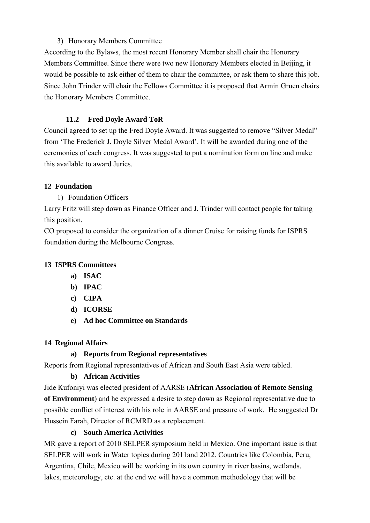# 3) Honorary Members Committee

According to the Bylaws, the most recent Honorary Member shall chair the Honorary Members Committee. Since there were two new Honorary Members elected in Beijing, it would be possible to ask either of them to chair the committee, or ask them to share this job. Since John Trinder will chair the Fellows Committee it is proposed that Armin Gruen chairs the Honorary Members Committee.

# **11.2 Fred Doyle Award ToR**

Council agreed to set up the Fred Doyle Award. It was suggested to remove "Silver Medal" from 'The Frederick J. Doyle Silver Medal Award'. It will be awarded during one of the ceremonies of each congress. It was suggested to put a nomination form on line and make this available to award Juries.

# **12 Foundation**

1) Foundation Officers

Larry Fritz will step down as Finance Officer and J. Trinder will contact people for taking this position.

CO proposed to consider the organization of a dinner Cruise for raising funds for ISPRS foundation during the Melbourne Congress.

# **13 ISPRS Committees**

- **a) ISAC**
- **b) IPAC**
- **c) CIPA**
- **d) ICORSE**
- **e) Ad hoc Committee on Standards**

# **14 Regional Affairs**

# **a) Reports from Regional representatives**

Reports from Regional representatives of African and South East Asia were tabled.

# **b) African Activities**

Jide Kufoniyi was elected president of AARSE (**African Association of Remote Sensing of Environment**) and he expressed a desire to step down as Regional representative due to possible conflict of interest with his role in AARSE and pressure of work. He suggested Dr Hussein Farah, Director of RCMRD as a replacement.

# **c) South America Activities**

MR gave a report of 2010 SELPER symposium held in Mexico. One important issue is that SELPER will work in Water topics during 2011and 2012. Countries like Colombia, Peru, Argentina, Chile, Mexico will be working in its own country in river basins, wetlands, lakes, meteorology, etc. at the end we will have a common methodology that will be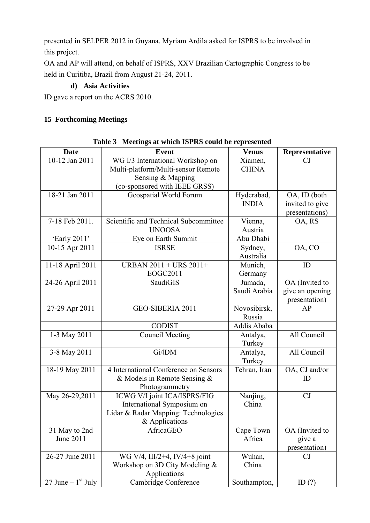presented in SELPER 2012 in Guyana. Myriam Ardila asked for ISPRS to be involved in this project.

OA and AP will attend, on behalf of ISPRS, XXV Brazilian Cartographic Congress to be held in Curitiba, Brazil from August 21-24, 2011.

# **d) Asia Activities**

ID gave a report on the ACRS 2010.

# **15 Forthcoming Meetings**

| <b>Date</b>          | <b>Event</b>                          | <b>Venus</b> | Representative  |
|----------------------|---------------------------------------|--------------|-----------------|
| 10-12 Jan 2011       | WG I/3 International Workshop on      | Xiamen,      | CJ              |
|                      |                                       | <b>CHINA</b> |                 |
|                      | Multi-platform/Multi-sensor Remote    |              |                 |
|                      | Sensing & Mapping                     |              |                 |
|                      | (co-sponsored with IEEE GRSS)         |              |                 |
| 18-21 Jan 2011       | Geospatial World Forum                | Hyderabad,   | OA, ID (both    |
|                      |                                       | <b>INDIA</b> | invited to give |
|                      |                                       |              | presentations)  |
| 7-18 Feb 2011.       | Scientific and Technical Subcommittee | Vienna,      | OA, RS          |
|                      | <b>UNOOSA</b>                         | Austria      |                 |
| 'Early 2011'         | Eye on Earth Summit                   | Abu Dhabi    |                 |
| 10-15 Apr 2011       | <b>ISRSE</b>                          | Sydney,      | OA, CO          |
|                      |                                       | Australia    |                 |
| 11-18 April 2011     | URBAN 2011 + URS 2011+                | Munich,      | ID              |
|                      | EOGC2011                              | Germany      |                 |
| 24-26 April 2011     | SaudiGIS                              | Jumada,      | OA (Invited to  |
|                      |                                       | Saudi Arabia | give an opening |
|                      |                                       |              | presentation)   |
| 27-29 Apr 2011       | GEO-SIBERIA 2011                      | Novosibirsk, | AP              |
|                      |                                       | Russia       |                 |
|                      | <b>CODIST</b>                         | Addis Ababa  |                 |
| 1-3 May 2011         | <b>Council Meeting</b>                | Antalya,     | All Council     |
|                      |                                       | Turkey       |                 |
| 3-8 May 2011         | Gi4DM                                 | Antalya,     | All Council     |
|                      |                                       | Turkey       |                 |
| 18-19 May 2011       | 4 International Conference on Sensors | Tehran, Iran | OA, CJ and/or   |
|                      | & Models in Remote Sensing $&$        |              | ID              |
|                      | Photogrammetry                        |              |                 |
| May 26-29,2011       | ICWG V/I joint ICA/ISPRS/FIG          | Nanjing,     | CJ              |
|                      | International Symposium on            | China        |                 |
|                      | Lidar & Radar Mapping: Technologies   |              |                 |
|                      | & Applications                        |              |                 |
| 31 May to 2nd        | AfricaGEO                             | Cape Town    | OA (Invited to  |
| June 2011            |                                       | Africa       | give a          |
|                      |                                       |              | presentation)   |
| 26-27 June 2011      | WG V/4, III/2+4, IV/4+8 joint         | Wuhan,       | CJ              |
|                      | Workshop on 3D City Modeling $&$      | China        |                 |
|                      | Applications                          |              |                 |
| 27 June – $1st$ July | Cambridge Conference                  | Southampton, | ID $(?)$        |

### **Table 3 Meetings at which ISPRS could be represented**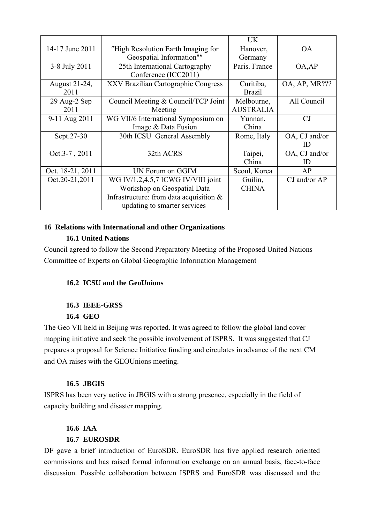|                  |                                            | <b>UK</b>        |               |
|------------------|--------------------------------------------|------------------|---------------|
| 14-17 June 2011  | "High Resolution Earth Imaging for         | Hanover,         | <b>OA</b>     |
|                  | Geospatial Information""                   | Germany          |               |
| 3-8 July 2011    | 25th International Cartography             | Paris. France    | OA, AP        |
|                  | Conference (ICC2011)                       |                  |               |
| August 21-24,    | XXV Brazilian Cartographic Congress        | Curitiba,        | OA, AP, MR??? |
| 2011             |                                            | <b>Brazil</b>    |               |
| 29 Aug-2 Sep     | Council Meeting & Council/TCP Joint        | Melbourne,       | All Council   |
| 2011             | Meeting                                    | <b>AUSTRALIA</b> |               |
| 9-11 Aug 2011    | WG VII/6 International Symposium on        | Yunnan,          | CJ            |
|                  | Image & Data Fusion                        | China            |               |
| Sept. 27-30      | 30th ICSU General Assembly                 | Rome, Italy      | OA, CJ and/or |
|                  |                                            |                  | ID            |
| Oct.3-7, 2011    | 32th ACRS                                  | Taipei,          | OA, CJ and/or |
|                  |                                            | China            | ID            |
| Oct. 18-21, 2011 | UN Forum on GGIM                           | Seoul, Korea     | AP            |
| Oct.20-21,2011   | WG IV/1,2,4,5,7 ICWG IV/VIII joint         | Guilin,          | CJ and/or AP  |
|                  | Workshop on Geospatial Data                | <b>CHINA</b>     |               |
|                  | Infrastructure: from data acquisition $\&$ |                  |               |
|                  | updating to smarter services               |                  |               |

#### **16 Relations with International and other Organizations**

#### **16.1 United Nations**

Council agreed to follow the Second Preparatory Meeting of the Proposed United Nations Committee of Experts on Global Geographic Information Management

#### **16.2 ICSU and the GeoUnions**

#### **16.3 IEEE-GRSS**

#### **16.4 GEO**

The Geo VII held in Beijing was reported. It was agreed to follow the global land cover mapping initiative and seek the possible involvement of ISPRS. It was suggested that CJ prepares a proposal for Science Initiative funding and circulates in advance of the next CM and OA raises with the GEOUnions meeting.

#### **16.5 JBGIS**

ISPRS has been very active in JBGIS with a strong presence, especially in the field of capacity building and disaster mapping.

### **16.6 IAA 16.7 EUROSDR**

DF gave a brief introduction of EuroSDR. EuroSDR has five applied research oriented commissions and has raised formal information exchange on an annual basis, face-to-face discussion. Possible collaboration between ISPRS and EuroSDR was discussed and the